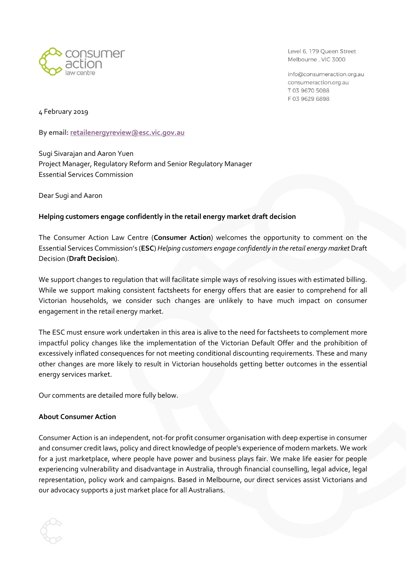

Level 6, 179 Queen Street Melbourne, VIC 3000

info@consumeraction.org.au consumeraction.org.au T 03 9670 5088 F0396296898

4 February 2019

**By email: [retailenergyreview@esc.vic.gov.au](mailto:retailenergyreview@esc.vic.gov.au)**

Sugi Sivarajan and Aaron Yuen Project Manager, Regulatory Reform and Senior Regulatory Manager Essential Services Commission

Dear Sugi and Aaron

#### **Helping customers engage confidently in the retail energy market draft decision**

The Consumer Action Law Centre (**Consumer Action**) welcomes the opportunity to comment on the Essential Services Commission's (**ESC**) *Helping customers engage confidently in the retail energy market* Draft Decision (**Draft Decision**).

We support changes to regulation that will facilitate simple ways of resolving issues with estimated billing. While we support making consistent factsheets for energy offers that are easier to comprehend for all Victorian households, we consider such changes are unlikely to have much impact on consumer engagement in the retail energy market.

The ESC must ensure work undertaken in this area is alive to the need for factsheets to complement more impactful policy changes like the implementation of the Victorian Default Offer and the prohibition of excessively inflated consequences for not meeting conditional discounting requirements. These and many other changes are more likely to result in Victorian households getting better outcomes in the essential energy services market.

Our comments are detailed more fully below.

#### **About Consumer Action**

Consumer Action is an independent, not-for profit consumer organisation with deep expertise in consumer and consumer credit laws, policy and direct knowledge of people's experience of modern markets. We work for a just marketplace, where people have power and business plays fair. We make life easier for people experiencing vulnerability and disadvantage in Australia, through financial counselling, legal advice, legal representation, policy work and campaigns. Based in Melbourne, our direct services assist Victorians and our advocacy supports a just market place for all Australians.

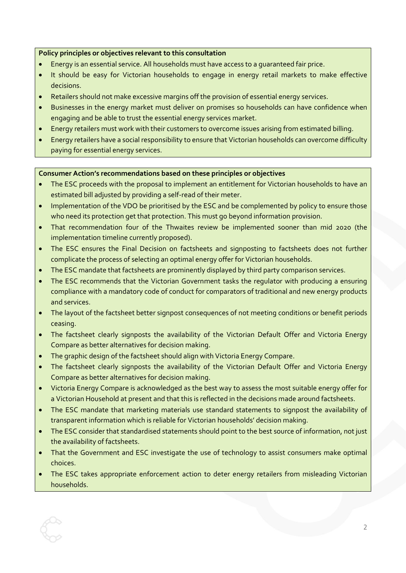# **Policy principles or objectives relevant to this consultation**

- Energy is an essential service. All households must have access to a guaranteed fair price.
- It should be easy for Victorian households to engage in energy retail markets to make effective decisions.
- Retailers should not make excessive margins off the provision of essential energy services.
- Businesses in the energy market must deliver on promises so households can have confidence when engaging and be able to trust the essential energy services market.
- Energy retailers must work with their customers to overcome issues arising from estimated billing.
- Energy retailers have a social responsibility to ensure that Victorian households can overcome difficulty paying for essential energy services.

#### **Consumer Action's recommendations based on these principles or objectives**

- The ESC proceeds with the proposal to implement an entitlement for Victorian households to have an estimated bill adjusted by providing a self-read of their meter.
- Implementation of the VDO be prioritised by the ESC and be complemented by policy to ensure those who need its protection get that protection. This must go beyond information provision.
- That recommendation four of the Thwaites review be implemented sooner than mid 2020 (the implementation timeline currently proposed).
- The ESC ensures the Final Decision on factsheets and signposting to factsheets does not further complicate the process of selecting an optimal energy offer for Victorian households.
- The ESC mandate that factsheets are prominently displayed by third party comparison services.
- The ESC recommends that the Victorian Government tasks the regulator with producing a ensuring compliance with a mandatory code of conduct for comparators of traditional and new energy products and services.
- The layout of the factsheet better signpost consequences of not meeting conditions or benefit periods ceasing.
- The factsheet clearly signposts the availability of the Victorian Default Offer and Victoria Energy Compare as better alternatives for decision making.
- The graphic design of the factsheet should align with Victoria Energy Compare.
- The factsheet clearly signposts the availability of the Victorian Default Offer and Victoria Energy Compare as better alternatives for decision making.
- Victoria Energy Compare is acknowledged as the best way to assess the most suitable energy offer for a Victorian Household at present and that this is reflected in the decisions made around factsheets.
- The ESC mandate that marketing materials use standard statements to signpost the availability of transparent information which is reliable for Victorian households' decision making.
- The ESC consider that standardised statements should point to the best source of information, not just the availability of factsheets.
- That the Government and ESC investigate the use of technology to assist consumers make optimal choices.
- The ESC takes appropriate enforcement action to deter energy retailers from misleading Victorian households.

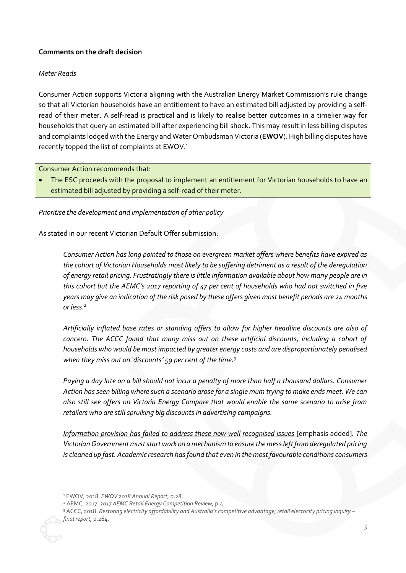# **Comments on the draft decision**

#### *Meter Reads*

Consumer Action supports Victoria aligning with the Australian Energy Market Commission's rule change so that all Victorian households have an entitlement to have an estimated bill adjusted by providing a selfread of their meter. A self-read is practical and is likely to realise better outcomes in a timelier way for households that query an estimated bill after experiencing bill shock. This may result in less billing disputes and complaints lodged with the Energy and Water Ombudsman Victoria (**EWOV**). High billing disputes have recently topped the list of complaints at EWOV.<sup>1</sup>

Consumer Action recommends that:

The ESC proceeds with the proposal to implement an entitlement for Victorian households to have an estimated bill adjusted by providing a self-read of their meter.

*Prioritise the development and implementation of other policy* 

As stated in our recent Victorian Default Offer submission:

*Consumer Action has long pointed to those on evergreen market offers where benefits have expired as the cohort of Victorian Households most likely to be suffering detriment as a result of the deregulation of energy retail pricing. Frustratingly there is little information available about how many people are in this cohort but the AEMC's 2017 reporting of 47 per cent of households who had not switched in five years may give an indication of the risk posed by these offers given most benefit periods are 24 months or less.<sup>2</sup>*

*Artificially inflated base rates or standing offers to allow for higher headline discounts are also of concern. The ACCC found that many miss out on these artificial discounts, including a cohort of households who would be most impacted by greater energy costs and are disproportionately penalised when they miss out on 'discounts' 59 per cent of the time.<sup>3</sup>*

*Paying a day late on a bill should not incur a penalty of more than half a thousand dollars. Consumer Action has seen billing where such a scenario arose for a single mum trying to make ends meet. We can also still see offers on Victoria Energy Compare that would enable the same scenario to arise from retailers who are still spruiking big discounts in advertising campaigns.*

*Information provision has failed to address these now well recognised issues* [emphasis added]*. The Victorian Government must start work on a mechanism to ensure the mess left from deregulated pricing is cleaned up fast. Academic research has found that even in the most favourable conditions consumers* 

-

<sup>1</sup> EWOV, 2018. *EWOV 2018 Annual Report,* p.28.

<sup>2</sup> AEMC, 2017. *2017 AEMC Retail Energy Competition Review,* p.4.

<sup>3</sup> ACCC, 2018. *Restoring electricity affordability and Australia's competitive advantage; retail electricity pricing inquiry – final report,* p.264.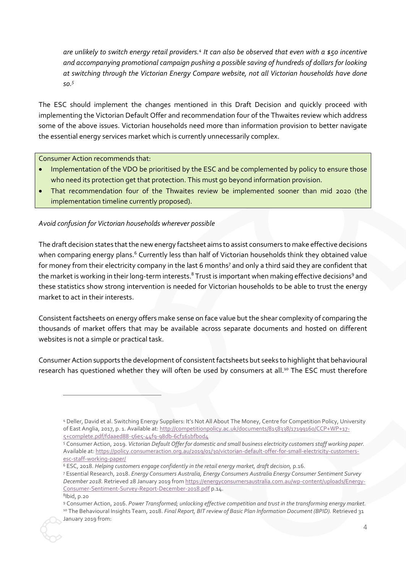*are unlikely to switch energy retail providers.<sup>4</sup> It can also be observed that even with a \$50 incentive and accompanying promotional campaign pushing a possible saving of hundreds of dollars for looking at switching through the Victorian Energy Compare website, not all Victorian households have done so.<sup>5</sup>*

The ESC should implement the changes mentioned in this Draft Decision and quickly proceed with implementing the Victorian Default Offer and recommendation four of the Thwaites review which address some of the above issues. Victorian households need more than information provision to better navigate the essential energy services market which is currently unnecessarily complex.

Consumer Action recommends that:

-

- Implementation of the VDO be prioritised by the ESC and be complemented by policy to ensure those who need its protection get that protection. This must go beyond information provision.
- That recommendation four of the Thwaites review be implemented sooner than mid 2020 (the implementation timeline currently proposed).

# *Avoid confusion for Victorian households wherever possible*

The draft decision states that the new energy factsheet aims to assist consumers to make effective decisions when comparing energy plans.<sup>6</sup> Currently less than half of Victorian households think they obtained value for money from their electricity company in the last 6 months7 and only a third said they are confident that the market is working in their long-term interests.<sup>8</sup> Trust is important when making effective decisions<sup>9</sup> and these statistics show strong intervention is needed for Victorian households to be able to trust the energy market to act in their interests.

Consistent factsheets on energy offers make sense on face value but the shear complexity of comparing the thousands of market offers that may be available across separate documents and hosted on different websites is not a simple or practical task.

Consumer Action supports the development of consistent factsheets but seeks to highlight that behavioural research has questioned whether they will often be used by consumers at all.<sup>10</sup> The ESC must therefore

<sup>4</sup> Deller, David et al. Switching Energy Suppliers: It's Not All About The Money, Centre for Competition Policy, University of East Anglia, 2017, p. 1. Available at[: http://competitionpolicy.ac.uk/documents/8158338/17199160/CCP+WP+17-](http://competitionpolicy.ac.uk/documents/8158338/17199160/CCP+WP+17-5+complete.pdf/fdaaed88-56e5-44f9-98db-6cf161bfb0d4) [5+complete.pdf/fdaaed88-56e5-44f9-98db-6cf161bfb0d4](http://competitionpolicy.ac.uk/documents/8158338/17199160/CCP+WP+17-5+complete.pdf/fdaaed88-56e5-44f9-98db-6cf161bfb0d4)

<sup>5</sup> Consumer Action, 2019. *Victorian Default Offer for domestic and small business electricity customers staff working paper.*  Available at[: https://policy.consumeraction.org.au/2019/01/30/victorian-default-offer-for-small-electricity-customers](https://policy.consumeraction.org.au/2019/01/30/victorian-default-offer-for-small-electricity-customers-esc-staff-working-paper/)[esc-staff-working-paper/](https://policy.consumeraction.org.au/2019/01/30/victorian-default-offer-for-small-electricity-customers-esc-staff-working-paper/)

<sup>6</sup> ESC, 2018. *Helping customers engage confidently in the retail energy market, draft decision,* p.16.

<sup>7</sup> Essential Research, 2018. *Energy Consumers Australia, Energy Consumers Australia Energy Consumer Sentiment Survey December 2018.* Retrieved 28 January 2019 from [https://energyconsumersaustralia.com.au/wp-content/uploads/Energy-](https://energyconsumersaustralia.com.au/wp-content/uploads/Energy-Consumer-Sentiment-Survey-Report-December-2018.pdf)[Consumer-Sentiment-Survey-Report-December-2018.pdf](https://energyconsumersaustralia.com.au/wp-content/uploads/Energy-Consumer-Sentiment-Survey-Report-December-2018.pdf) p.14. 8 Ibid, p.20

<sup>9</sup> Consumer Action, 2016. *Power Transformed; unlocking effective competition and trust in the transforming energy market.* <sup>10</sup> The Behavioural Insights Team, 2018. *Final Report, BIT review of Basic Plan Information Document (BPID)*. Retrieved 31 January 2019 from: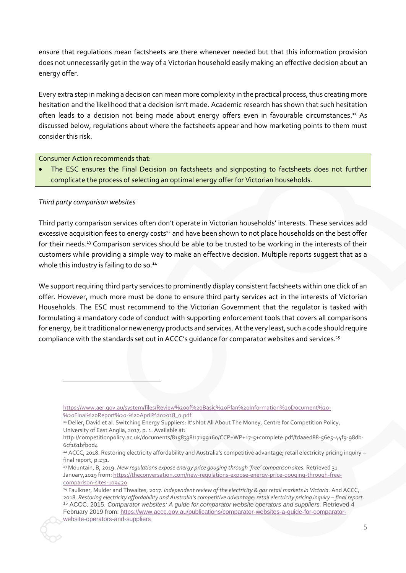ensure that regulations mean factsheets are there whenever needed but that this information provision does not unnecessarily get in the way of a Victorian household easily making an effective decision about an energy offer.

Every extra step in making a decision can mean more complexity in the practical process, thus creating more hesitation and the likelihood that a decision isn't made. Academic research has shown that such hesitation often leads to a decision not being made about energy offers even in favourable circumstances.<sup>11</sup> As discussed below, regulations about where the factsheets appear and how marketing points to them must consider this risk.

Consumer Action recommends that:

• The ESC ensures the Final Decision on factsheets and signposting to factsheets does not further complicate the process of selecting an optimal energy offer for Victorian households.

# *Third party comparison websites*

 $\overline{a}$ 

Third party comparison services often don't operate in Victorian households' interests. These services add excessive acquisition fees to energy costs<sup>12</sup> and have been shown to not place households on the best offer for their needs.<sup>13</sup> Comparison services should be able to be trusted to be working in the interests of their customers while providing a simple way to make an effective decision. Multiple reports suggest that as a whole this industry is failing to do so.<sup>14</sup>

We support requiring third party services to prominently display consistent factsheets within one click of an offer. However, much more must be done to ensure third party services act in the interests of Victorian Households. The ESC must recommend to the Victorian Government that the regulator is tasked with formulating a mandatory code of conduct with supporting enforcement tools that covers all comparisons for energy, be it traditional or new energy products and services. At the very least, such a code should require compliance with the standards set out in ACCC's guidance for comparator websites and services.<sup>15</sup>

[https://www.aer.gov.au/system/files/Review%20of%20Basic%20Plan%20Information%20Document%20-](https://www.aer.gov.au/system/files/Review%20of%20Basic%20Plan%20Information%20Document%20-%20Final%20Report%20-%20April%202018_0.pdf) [%20Final%20Report%20-%20April%202018\\_0.pdf](https://www.aer.gov.au/system/files/Review%20of%20Basic%20Plan%20Information%20Document%20-%20Final%20Report%20-%20April%202018_0.pdf)

<sup>11</sup> Deller, David et al. Switching Energy Suppliers: It's Not All About The Money, Centre for Competition Policy, University of East Anglia, 2017, p. 1. Available at:

http://competitionpolicy.ac.uk/documents/8158338/17199160/CCP+WP+17-5+complete.pdf/fdaaed88-56e5-44f9-98db-6cf161bfb0d4

<sup>12</sup> ACCC, 2018. Restoring electricity affordability and Australia's competitive advantage; retail electricity pricing inquiry – final report, p.231.

<sup>13</sup> Mountain, B, 2019. *New regulations expose energy price gouging through 'free' comparison sites.* Retrieved 31 January,2019 from[: https://theconversation.com/new-regulations-expose-energy-price-gouging-through-free](https://theconversation.com/new-regulations-expose-energy-price-gouging-through-free-comparison-sites-109420)[comparison-sites-109420](https://theconversation.com/new-regulations-expose-energy-price-gouging-through-free-comparison-sites-109420)

<sup>14</sup> Faulkner, Mulder and Thwaites, 2017. *Independent review of the electricity & gas retail markets in Victoria.* And ACCC, 2018. *Restoring electricity affordability and Australia's competitive advantage; retail electricity pricing inquiry – final report.* <sup>15</sup> ACCC, 2015. Comparator websites: A guide for comparator website operators and suppliers. Retrieved 4 February 2019 from[: https://www.accc.gov.au/publications/comparator-websites-a-guide-for-comparator](https://www.accc.gov.au/publications/comparator-websites-a-guide-for-comparator-website-operators-and-suppliers)[website-operators-and-suppliers](https://www.accc.gov.au/publications/comparator-websites-a-guide-for-comparator-website-operators-and-suppliers)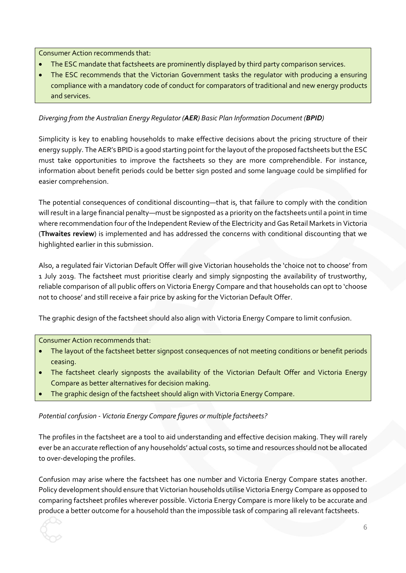Consumer Action recommends that:

- The ESC mandate that factsheets are prominently displayed by third party comparison services.
- The ESC recommends that the Victorian Government tasks the regulator with producing a ensuring compliance with a mandatory code of conduct for comparators of traditional and new energy products and services.

# *Diverging from the Australian Energy Regulator (AER) Basic Plan Information Document (BPID)*

Simplicity is key to enabling households to make effective decisions about the pricing structure of their energy supply. The AER's BPID is a good starting point for the layout of the proposed factsheets but the ESC must take opportunities to improve the factsheets so they are more comprehendible. For instance, information about benefit periods could be better sign posted and some language could be simplified for easier comprehension.

The potential consequences of conditional discounting—that is, that failure to comply with the condition will result in a large financial penalty—must be signposted as a priority on the factsheets until a point in time where recommendation four of the Independent Review of the Electricity and Gas Retail Markets in Victoria (**Thwaites review**) is implemented and has addressed the concerns with conditional discounting that we highlighted earlier in this submission.

Also, a regulated fair Victorian Default Offer will give Victorian households the 'choice not to choose' from 1 July 2019. The factsheet must prioritise clearly and simply signposting the availability of trustworthy, reliable comparison of all public offers on Victoria Energy Compare and that households can opt to 'choose not to choose' and still receive a fair price by asking for the Victorian Default Offer.

The graphic design of the factsheet should also align with Victoria Energy Compare to limit confusion.

Consumer Action recommends that:

- The layout of the factsheet better signpost consequences of not meeting conditions or benefit periods ceasing.
- The factsheet clearly signposts the availability of the Victorian Default Offer and Victoria Energy Compare as better alternatives for decision making.
- The graphic design of the factsheet should align with Victoria Energy Compare.

*Potential confusion - Victoria Energy Compare figures or multiple factsheets?*

The profiles in the factsheet are a tool to aid understanding and effective decision making. They will rarely ever be an accurate reflection of any households' actual costs, so time and resources should not be allocated to over-developing the profiles.

Confusion may arise where the factsheet has one number and Victoria Energy Compare states another. Policy development should ensure that Victorian households utilise Victoria Energy Compare as opposed to comparing factsheet profiles wherever possible. Victoria Energy Compare is more likely to be accurate and produce a better outcome for a household than the impossible task of comparing all relevant factsheets.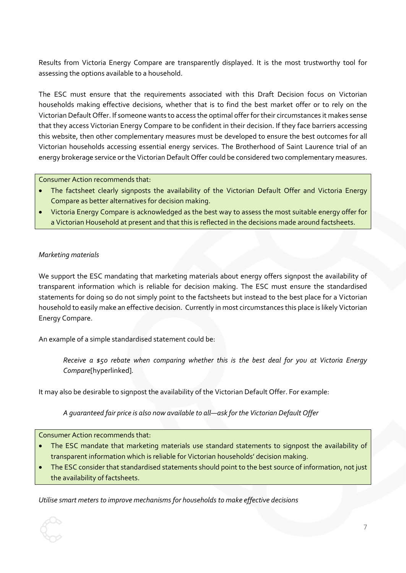Results from Victoria Energy Compare are transparently displayed. It is the most trustworthy tool for assessing the options available to a household.

The ESC must ensure that the requirements associated with this Draft Decision focus on Victorian households making effective decisions, whether that is to find the best market offer or to rely on the Victorian Default Offer. If someone wants to access the optimal offer for their circumstances it makes sense that they access Victorian Energy Compare to be confident in their decision. If they face barriers accessing this website, then other complementary measures must be developed to ensure the best outcomes for all Victorian households accessing essential energy services. The Brotherhood of Saint Laurence trial of an energy brokerage service or the Victorian Default Offer could be considered two complementary measures.

Consumer Action recommends that:

- The factsheet clearly signposts the availability of the Victorian Default Offer and Victoria Energy Compare as better alternatives for decision making.
- Victoria Energy Compare is acknowledged as the best way to assess the most suitable energy offer for a Victorian Household at present and that this is reflected in the decisions made around factsheets.

#### *Marketing materials*

We support the ESC mandating that marketing materials about energy offers signpost the availability of transparent information which is reliable for decision making. The ESC must ensure the standardised statements for doing so do not simply point to the factsheets but instead to the best place for a Victorian household to easily make an effective decision. Currently in most circumstances this place is likely Victorian Energy Compare.

An example of a simple standardised statement could be:

*Receive a \$50 rebate when comparing whether this is the best deal for you at Victoria Energy Compare*[hyperlinked]*.*

It may also be desirable to signpost the availability of the Victorian Default Offer. For example:

*A guaranteed fair price is also now available to all*—*ask for the Victorian Default Offer*

Consumer Action recommends that:

- The ESC mandate that marketing materials use standard statements to signpost the availability of transparent information which is reliable for Victorian households' decision making.
- The ESC consider that standardised statements should point to the best source of information, not just the availability of factsheets.

*Utilise smart meters to improve mechanisms for households to make effective decisions*